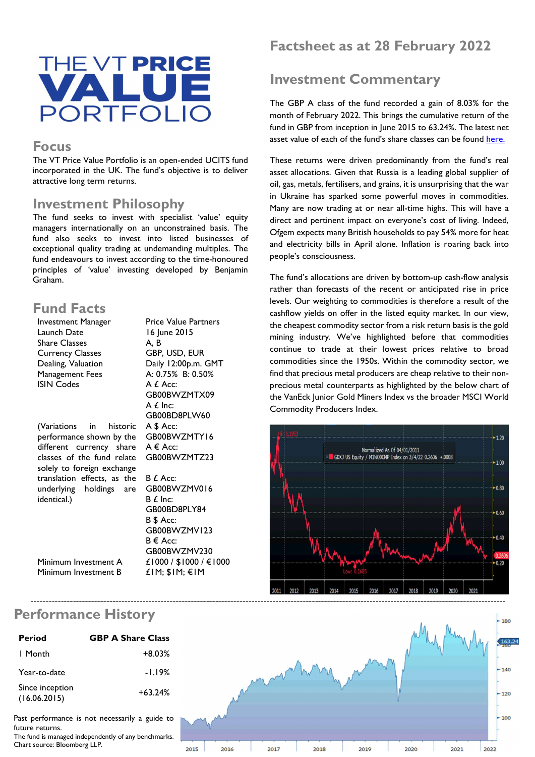

#### **Focus**

The VT Price Value Portfolio is an open-ended UCITS fund incorporated in the UK. The fund's objective is to deliver attractive long term returns.

#### Investment Philosophy

The fund seeks to invest with specialist 'value' equity managers internationally on an unconstrained basis. The fund also seeks to invest into listed businesses of exceptional quality trading at undemanding multiples. The fund endeavours to invest according to the time-honoured principles of 'value' investing developed by Benjamin Graham.

### Fund Facts

| Investment Manager          | <b>Price Value Partners</b> |
|-----------------------------|-----------------------------|
| Launch Date                 | 16 June 2015                |
| <b>Share Classes</b>        | A, B                        |
| <b>Currency Classes</b>     | GBP, USD, EUR               |
| Dealing, Valuation          | Daily 12:00p.m. GMT         |
| Management Fees             | A: 0.75% B: 0.50%           |
| <b>ISIN Codes</b>           | A £ Acc:                    |
|                             | GB00BWZMTX09                |
|                             | A £ Inc:                    |
|                             | GB00BD8PLW60                |
| (Variations in historic     | A \$ Acc:                   |
| performance shown by the    | GB00BWZMTY16                |
| different currency share    | A € Acc:                    |
| classes of the fund relate  | GB00BWZMTZ23                |
| solely to foreign exchange  |                             |
| translation effects, as the | B £ Acc:                    |
| underlying holdings are     | GB00BWZMV016                |
| identical.)                 | $B f$ Inc:                  |
|                             | GB00BD8PLY84                |
|                             | B \$ Acc:                   |
|                             | GB00BWZMV123                |
|                             | B € Acc:                    |
|                             | GB00BWZMV230                |
| Minimum Investment A        | £1000 / \$1000 / €1000      |

£1M; \$1M; €1M

Factsheet as at 28 February 2022

# Investment Commentary

The GBP A class of the fund recorded a gain of 8.03% for the month of February 2022. This brings the cumulative return of the fund in GBP from inception in June 2015 to 63.24%. The latest net asset value of each of the fund's share classes can be found here.

These returns were driven predominantly from the fund's real asset allocations. Given that Russia is a leading global supplier of oil, gas, metals, fertilisers, and grains, it is unsurprising that the war in Ukraine has sparked some powerful moves in commodities. Many are now trading at or near all-time highs. This will have a direct and pertinent impact on everyone's cost of living. Indeed, Ofgem expects many British households to pay 54% more for heat and electricity bills in April alone. Inflation is roaring back into people's consciousness.

The fund's allocations are driven by bottom-up cash-flow analysis rather than forecasts of the recent or anticipated rise in price levels. Our weighting to commodities is therefore a result of the cashflow yields on offer in the listed equity market. In our view, the cheapest commodity sector from a risk return basis is the gold mining industry. We've highlighted before that commodities continue to trade at their lowest prices relative to broad commodities since the 1950s. Within the commodity sector, we find that precious metal producers are cheap relative to their nonprecious metal counterparts as highlighted by the below chart of the VanEck Junior Gold Miners Index vs the broader MSCI World Commodity Producers Index.



## Performance History

Minimum Investment B

| <b>Period</b>                   | <b>GBP A Share Class</b> |
|---------------------------------|--------------------------|
| I Month                         | $+8.03%$                 |
| Year-to-date                    | -1.19%                   |
| Since inception<br>(16.06.2015) | $+63.24%$                |

Past performance is not necessarily a guide to future returns.

The fund is managed independently of any benchmarks. Chart source: Bloomberg LLP.